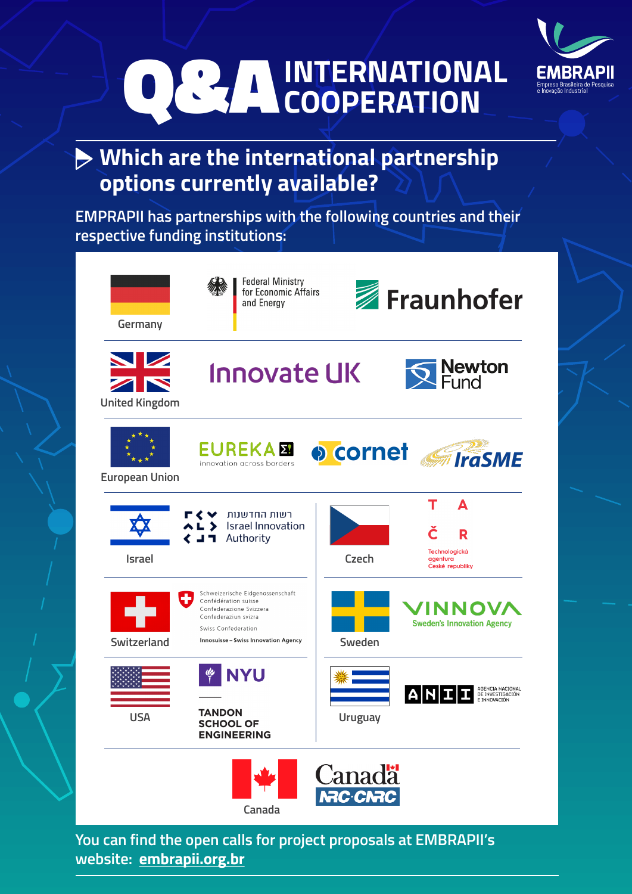

## **Which are the international partnership options currently available?**

**EMPRAPII has partnerships with the following countries and their respective funding institutions:**



**You can find the open calls for project proposals at EMBRAPII's website: [embrapii.org.br](https://embrapii.org.br/en/)**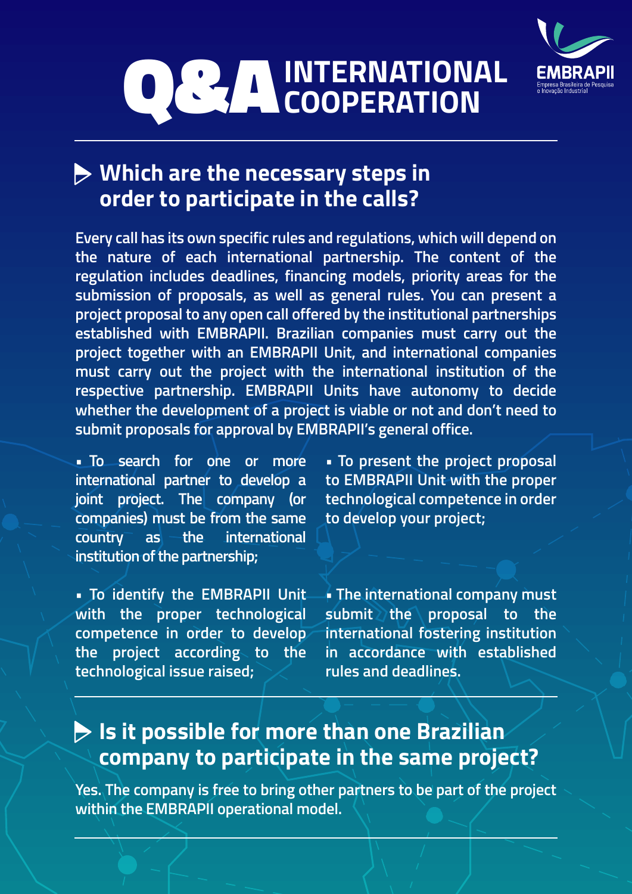

### **Which are the necessary steps in order to participate in the calls?**

**Every call has its own specific rules and regulations, which will depend on the nature of each international partnership. The content of the regulation includes deadlines, financing models, priority areas for the submission of proposals, as well as general rules. You can present a project proposal to any open call offered by the institutional partnerships established with EMBRAPII. Brazilian companies must carry out the project together with an EMBRAPII Unit, and international companies must carry out the project with the international institution of the respective partnership. EMBRAPII Units have autonomy to decide whether the development of a project is viable or not and don't need to submit proposals for approval by EMBRAPII's general office.**

**• To search for one or more international partner to develop a joint project. The company (or companies) must be from the same country as the international institution of the partnership;** 

**• To identify the EMBRAPII Unit with the proper technological competence in order to develop the project according to the technological issue raised;**

**• To present the project proposal to EMBRAPII Unit with the proper technological competence in order to develop your project;**

**• The international company must**  submit the proposal to the **international fostering institution in accordance with established rules and deadlines.**

## **Is it possible for more than one Brazilian company to participate in the same project?**

**Yes. The company is free to bring other partners to be part of the project within the EMBRAPII operational model.**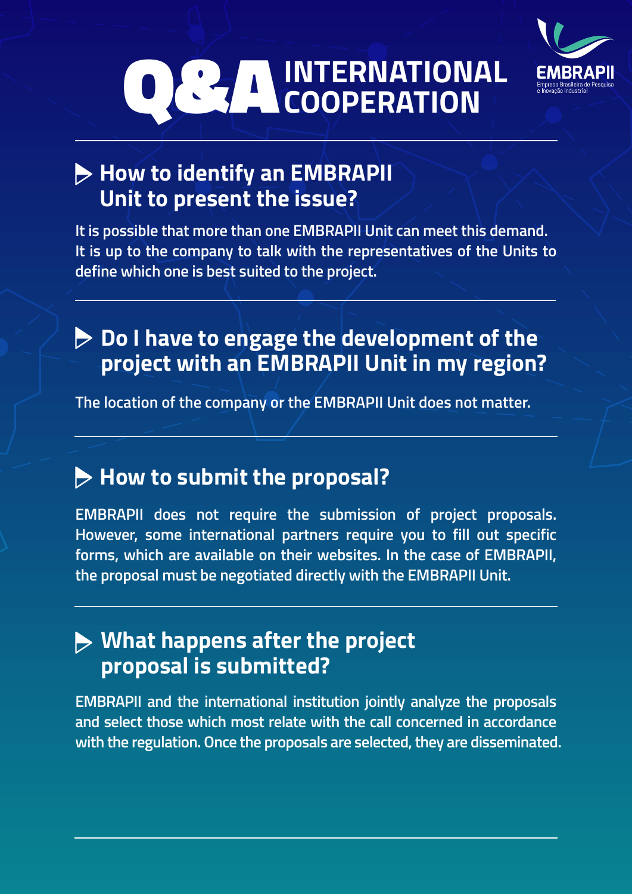

## **How to identify an EMBRAPII Unit to present the issue?**

**It is possible that more than one EMBRAPII Unit can meet this demand. It is up to the company to talk with the representatives of the Units to define which one is best suited to the project.**

## **Do I have to engage the development of the project with an EMBRAPII Unit in my region?**

**The location of the company or the EMBRAPII Unit does not matter.**

## **How to submit the proposal?**

**EMBRAPII does not require the submission of project proposals. However, some international partners require you to fill out specific forms, which are available on their websites. In the case of EMBRAPII, the proposal must be negotiated directly with the EMBRAPII Unit.**

### **What happens after the project proposal is submitted?**

**EMBRAPII and the international institution jointly analyze the proposals and select those which most relate with the call concerned in accordance with the regulation. Once the proposals are selected, they are disseminated.**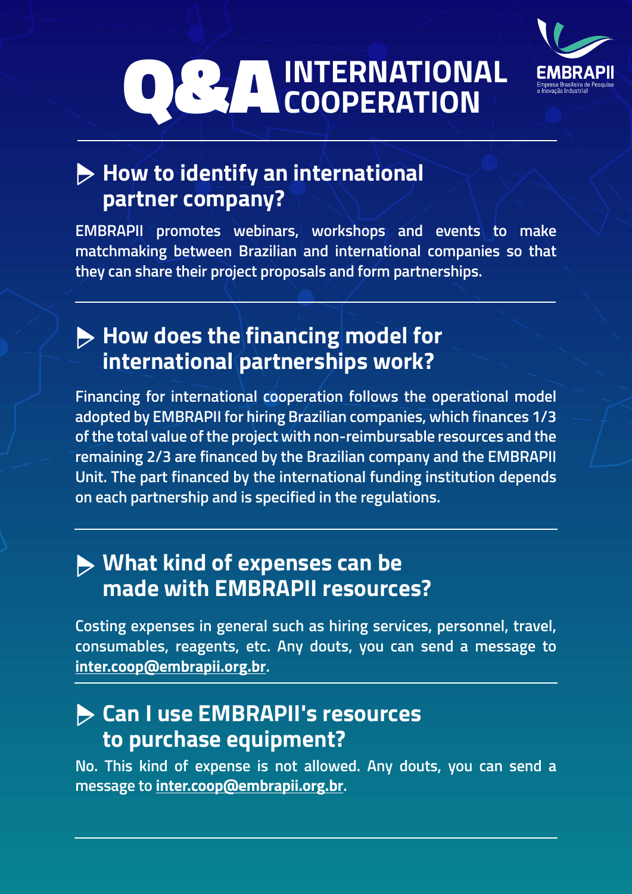

## **How to identify an international partner company?**

**EMBRAPII promotes webinars, workshops and events to make matchmaking between Brazilian and international companies so that they can share their project proposals and form partnerships.**

### **How does the financing model for international partnerships work?**

**Financing for international cooperation follows the operational model adopted by EMBRAPII for hiring Brazilian companies, which finances 1/3 of the total value of the project with non-reimbursable resources and the remaining 2/3 are financed by the Brazilian company and the EMBRAPII Unit. The part financed by the international funding institution depends on each partnership and is specified in the regulations.**

#### **What kind of expenses can be made with EMBRAPII resources?**

**Costing expenses in general such as hiring services, personnel, travel, consumables, reagents, etc. Any douts, you can send a message to inter.coop@embrapii.org.br.**

#### **Can I use EMBRAPII's resources to purchase equipment?**

**No. This kind of expense is not allowed. Any douts, you can send a message to inter.coop@embrapii.org.br.**